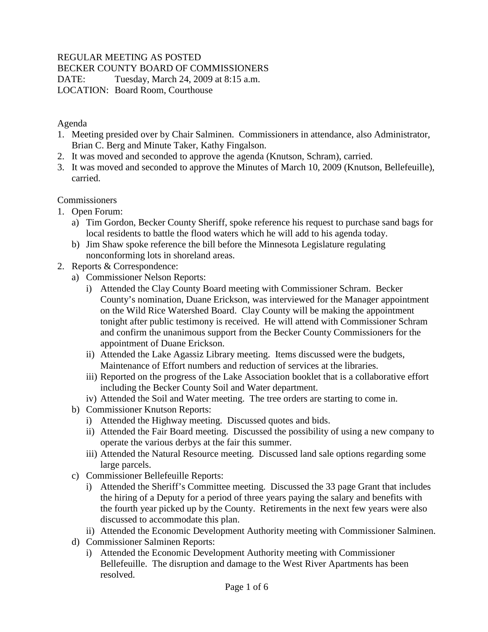# REGULAR MEETING AS POSTED

BECKER COUNTY BOARD OF COMMISSIONERS

DATE: Tuesday, March 24, 2009 at 8:15 a.m. LOCATION: Board Room, Courthouse

### Agenda

- 1. Meeting presided over by Chair Salminen. Commissioners in attendance, also Administrator, Brian C. Berg and Minute Taker, Kathy Fingalson.
- 2. It was moved and seconded to approve the agenda (Knutson, Schram), carried.
- 3. It was moved and seconded to approve the Minutes of March 10, 2009 (Knutson, Bellefeuille), carried.

# Commissioners

- 1. Open Forum:
	- a) Tim Gordon, Becker County Sheriff, spoke reference his request to purchase sand bags for local residents to battle the flood waters which he will add to his agenda today.
	- b) Jim Shaw spoke reference the bill before the Minnesota Legislature regulating nonconforming lots in shoreland areas.
- 2. Reports & Correspondence:
	- a) Commissioner Nelson Reports:
		- i) Attended the Clay County Board meeting with Commissioner Schram. Becker County's nomination, Duane Erickson, was interviewed for the Manager appointment on the Wild Rice Watershed Board. Clay County will be making the appointment tonight after public testimony is received. He will attend with Commissioner Schram and confirm the unanimous support from the Becker County Commissioners for the appointment of Duane Erickson.
		- ii) Attended the Lake Agassiz Library meeting. Items discussed were the budgets, Maintenance of Effort numbers and reduction of services at the libraries.
		- iii) Reported on the progress of the Lake Association booklet that is a collaborative effort including the Becker County Soil and Water department.
		- iv) Attended the Soil and Water meeting. The tree orders are starting to come in.
	- b) Commissioner Knutson Reports:
		- i) Attended the Highway meeting. Discussed quotes and bids.
		- ii) Attended the Fair Board meeting. Discussed the possibility of using a new company to operate the various derbys at the fair this summer.
		- iii) Attended the Natural Resource meeting. Discussed land sale options regarding some large parcels.
	- c) Commissioner Bellefeuille Reports:
		- i) Attended the Sheriff's Committee meeting. Discussed the 33 page Grant that includes the hiring of a Deputy for a period of three years paying the salary and benefits with the fourth year picked up by the County. Retirements in the next few years were also discussed to accommodate this plan.
		- ii) Attended the Economic Development Authority meeting with Commissioner Salminen.
	- d) Commissioner Salminen Reports:
		- i) Attended the Economic Development Authority meeting with Commissioner Bellefeuille. The disruption and damage to the West River Apartments has been resolved.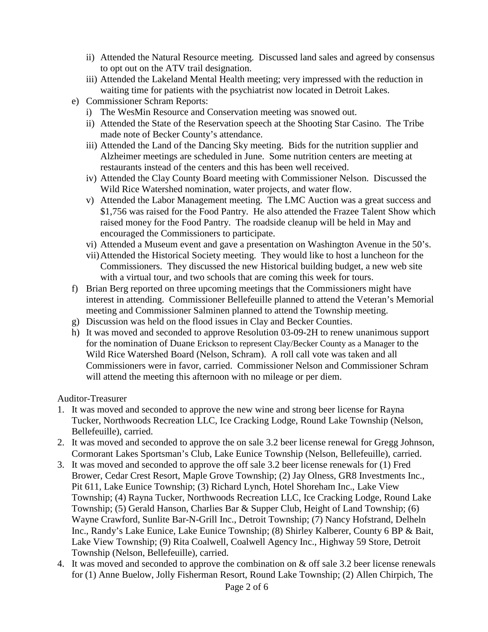- ii) Attended the Natural Resource meeting. Discussed land sales and agreed by consensus to opt out on the ATV trail designation.
- iii) Attended the Lakeland Mental Health meeting; very impressed with the reduction in waiting time for patients with the psychiatrist now located in Detroit Lakes.
- e) Commissioner Schram Reports:
	- i) The WesMin Resource and Conservation meeting was snowed out.
	- ii) Attended the State of the Reservation speech at the Shooting Star Casino. The Tribe made note of Becker County's attendance.
	- iii) Attended the Land of the Dancing Sky meeting. Bids for the nutrition supplier and Alzheimer meetings are scheduled in June. Some nutrition centers are meeting at restaurants instead of the centers and this has been well received.
	- iv) Attended the Clay County Board meeting with Commissioner Nelson. Discussed the Wild Rice Watershed nomination, water projects, and water flow.
	- v) Attended the Labor Management meeting. The LMC Auction was a great success and \$1,756 was raised for the Food Pantry. He also attended the Frazee Talent Show which raised money for the Food Pantry. The roadside cleanup will be held in May and encouraged the Commissioners to participate.
	- vi) Attended a Museum event and gave a presentation on Washington Avenue in the 50's.
	- vii)Attended the Historical Society meeting. They would like to host a luncheon for the Commissioners. They discussed the new Historical building budget, a new web site with a virtual tour, and two schools that are coming this week for tours.
- f) Brian Berg reported on three upcoming meetings that the Commissioners might have interest in attending. Commissioner Bellefeuille planned to attend the Veteran's Memorial meeting and Commissioner Salminen planned to attend the Township meeting.
- g) Discussion was held on the flood issues in Clay and Becker Counties.
- h) It was moved and seconded to approve Resolution 03-09-2H to renew unanimous support for the nomination of Duane Erickson to represent Clay/Becker County as a Manager to the Wild Rice Watershed Board (Nelson, Schram). A roll call vote was taken and all Commissioners were in favor, carried. Commissioner Nelson and Commissioner Schram will attend the meeting this afternoon with no mileage or per diem.

#### Auditor-Treasurer

- 1. It was moved and seconded to approve the new wine and strong beer license for Rayna Tucker, Northwoods Recreation LLC, Ice Cracking Lodge, Round Lake Township (Nelson, Bellefeuille), carried.
- 2. It was moved and seconded to approve the on sale 3.2 beer license renewal for Gregg Johnson, Cormorant Lakes Sportsman's Club, Lake Eunice Township (Nelson, Bellefeuille), carried.
- 3. It was moved and seconded to approve the off sale 3.2 beer license renewals for (1) Fred Brower, Cedar Crest Resort, Maple Grove Township; (2) Jay Olness, GR8 Investments Inc., Pit 611, Lake Eunice Township; (3) Richard Lynch, Hotel Shoreham Inc., Lake View Township; (4) Rayna Tucker, Northwoods Recreation LLC, Ice Cracking Lodge, Round Lake Township; (5) Gerald Hanson, Charlies Bar & Supper Club, Height of Land Township; (6) Wayne Crawford, Sunlite Bar-N-Grill Inc., Detroit Township; (7) Nancy Hofstrand, Delheln Inc., Randy's Lake Eunice, Lake Eunice Township; (8) Shirley Kalberer, County 6 BP & Bait, Lake View Township; (9) Rita Coalwell, Coalwell Agency Inc., Highway 59 Store, Detroit Township (Nelson, Bellefeuille), carried.
- 4. It was moved and seconded to approve the combination on & off sale 3.2 beer license renewals for (1) Anne Buelow, Jolly Fisherman Resort, Round Lake Township; (2) Allen Chirpich, The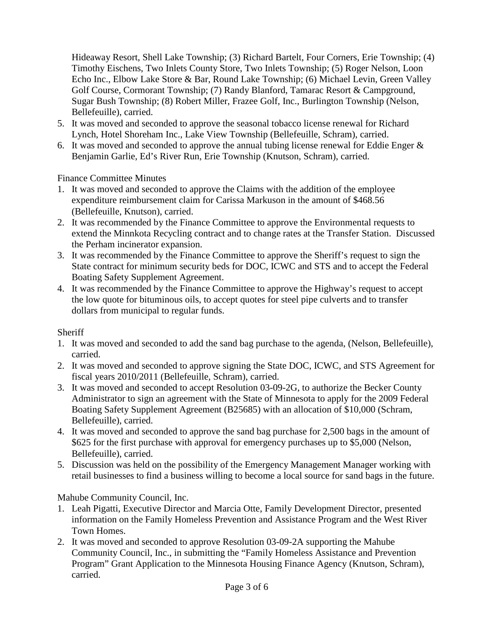Hideaway Resort, Shell Lake Township; (3) Richard Bartelt, Four Corners, Erie Township; (4) Timothy Eischens, Two Inlets County Store, Two Inlets Township; (5) Roger Nelson, Loon Echo Inc., Elbow Lake Store & Bar, Round Lake Township; (6) Michael Levin, Green Valley Golf Course, Cormorant Township; (7) Randy Blanford, Tamarac Resort & Campground, Sugar Bush Township; (8) Robert Miller, Frazee Golf, Inc., Burlington Township (Nelson, Bellefeuille), carried.

- 5. It was moved and seconded to approve the seasonal tobacco license renewal for Richard Lynch, Hotel Shoreham Inc., Lake View Township (Bellefeuille, Schram), carried.
- 6. It was moved and seconded to approve the annual tubing license renewal for Eddie Enger & Benjamin Garlie, Ed's River Run, Erie Township (Knutson, Schram), carried.

Finance Committee Minutes

- 1. It was moved and seconded to approve the Claims with the addition of the employee expenditure reimbursement claim for Carissa Markuson in the amount of \$468.56 (Bellefeuille, Knutson), carried.
- 2. It was recommended by the Finance Committee to approve the Environmental requests to extend the Minnkota Recycling contract and to change rates at the Transfer Station. Discussed the Perham incinerator expansion.
- 3. It was recommended by the Finance Committee to approve the Sheriff's request to sign the State contract for minimum security beds for DOC, ICWC and STS and to accept the Federal Boating Safety Supplement Agreement.
- 4. It was recommended by the Finance Committee to approve the Highway's request to accept the low quote for bituminous oils, to accept quotes for steel pipe culverts and to transfer dollars from municipal to regular funds.

**Sheriff** 

- 1. It was moved and seconded to add the sand bag purchase to the agenda, (Nelson, Bellefeuille), carried.
- 2. It was moved and seconded to approve signing the State DOC, ICWC, and STS Agreement for fiscal years 2010/2011 (Bellefeuille, Schram), carried.
- 3. It was moved and seconded to accept Resolution 03-09-2G, to authorize the Becker County Administrator to sign an agreement with the State of Minnesota to apply for the 2009 Federal Boating Safety Supplement Agreement (B25685) with an allocation of \$10,000 (Schram, Bellefeuille), carried.
- 4. It was moved and seconded to approve the sand bag purchase for 2,500 bags in the amount of \$625 for the first purchase with approval for emergency purchases up to \$5,000 (Nelson, Bellefeuille), carried.
- 5. Discussion was held on the possibility of the Emergency Management Manager working with retail businesses to find a business willing to become a local source for sand bags in the future.

Mahube Community Council, Inc.

- 1. Leah Pigatti, Executive Director and Marcia Otte, Family Development Director, presented information on the Family Homeless Prevention and Assistance Program and the West River Town Homes.
- 2. It was moved and seconded to approve Resolution 03-09-2A supporting the Mahube Community Council, Inc., in submitting the "Family Homeless Assistance and Prevention Program" Grant Application to the Minnesota Housing Finance Agency (Knutson, Schram), carried.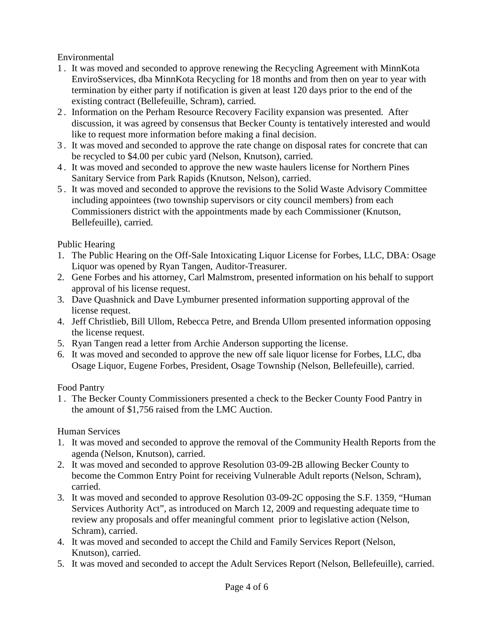# Environmental

- 1 . It was moved and seconded to approve renewing the Recycling Agreement with MinnKota EnviroSservices, dba MinnKota Recycling for 18 months and from then on year to year with termination by either party if notification is given at least 120 days prior to the end of the existing contract (Bellefeuille, Schram), carried.
- 2 . Information on the Perham Resource Recovery Facility expansion was presented. After discussion, it was agreed by consensus that Becker County is tentatively interested and would like to request more information before making a final decision.
- 3 . It was moved and seconded to approve the rate change on disposal rates for concrete that can be recycled to \$4.00 per cubic yard (Nelson, Knutson), carried.
- 4 . It was moved and seconded to approve the new waste haulers license for Northern Pines Sanitary Service from Park Rapids (Knutson, Nelson), carried.
- 5 . It was moved and seconded to approve the revisions to the Solid Waste Advisory Committee including appointees (two township supervisors or city council members) from each Commissioners district with the appointments made by each Commissioner (Knutson, Bellefeuille), carried.

# Public Hearing

- 1. The Public Hearing on the Off-Sale Intoxicating Liquor License for Forbes, LLC, DBA: Osage Liquor was opened by Ryan Tangen, Auditor-Treasurer.
- 2. Gene Forbes and his attorney, Carl Malmstrom, presented information on his behalf to support approval of his license request.
- 3. Dave Quashnick and Dave Lymburner presented information supporting approval of the license request.
- 4. Jeff Christlieb, Bill Ullom, Rebecca Petre, and Brenda Ullom presented information opposing the license request.
- 5. Ryan Tangen read a letter from Archie Anderson supporting the license.
- 6. It was moved and seconded to approve the new off sale liquor license for Forbes, LLC, dba Osage Liquor, Eugene Forbes, President, Osage Township (Nelson, Bellefeuille), carried.

### Food Pantry

1 . The Becker County Commissioners presented a check to the Becker County Food Pantry in the amount of \$1,756 raised from the LMC Auction.

# Human Services

- 1. It was moved and seconded to approve the removal of the Community Health Reports from the agenda (Nelson, Knutson), carried.
- 2. It was moved and seconded to approve Resolution 03-09-2B allowing Becker County to become the Common Entry Point for receiving Vulnerable Adult reports (Nelson, Schram), carried.
- 3. It was moved and seconded to approve Resolution 03-09-2C opposing the S.F. 1359, "Human Services Authority Act", as introduced on March 12, 2009 and requesting adequate time to review any proposals and offer meaningful comment prior to legislative action (Nelson, Schram), carried.
- 4. It was moved and seconded to accept the Child and Family Services Report (Nelson, Knutson), carried.
- 5. It was moved and seconded to accept the Adult Services Report (Nelson, Bellefeuille), carried.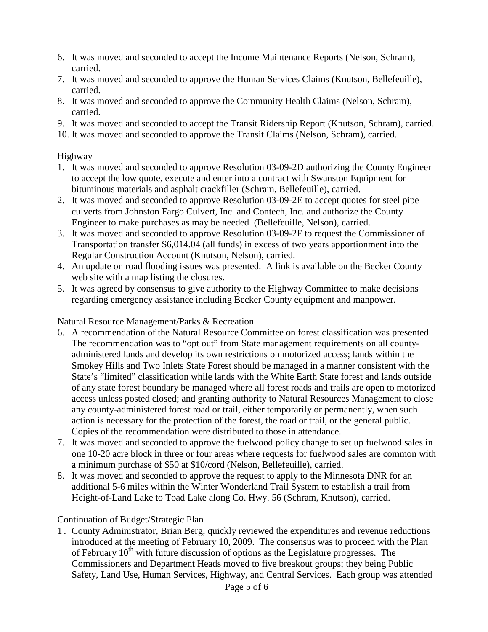- 6. It was moved and seconded to accept the Income Maintenance Reports (Nelson, Schram), carried.
- 7. It was moved and seconded to approve the Human Services Claims (Knutson, Bellefeuille), carried.
- 8. It was moved and seconded to approve the Community Health Claims (Nelson, Schram), carried.
- 9. It was moved and seconded to accept the Transit Ridership Report (Knutson, Schram), carried.
- 10. It was moved and seconded to approve the Transit Claims (Nelson, Schram), carried.

# Highway

- 1. It was moved and seconded to approve Resolution 03-09-2D authorizing the County Engineer to accept the low quote, execute and enter into a contract with Swanston Equipment for bituminous materials and asphalt crackfiller (Schram, Bellefeuille), carried.
- 2. It was moved and seconded to approve Resolution 03-09-2E to accept quotes for steel pipe culverts from Johnston Fargo Culvert, Inc. and Contech, Inc. and authorize the County Engineer to make purchases as may be needed (Bellefeuille, Nelson), carried.
- 3. It was moved and seconded to approve Resolution 03-09-2F to request the Commissioner of Transportation transfer \$6,014.04 (all funds) in excess of two years apportionment into the Regular Construction Account (Knutson, Nelson), carried.
- 4. An update on road flooding issues was presented. A link is available on the Becker County web site with a map listing the closures.
- 5. It was agreed by consensus to give authority to the Highway Committee to make decisions regarding emergency assistance including Becker County equipment and manpower.

### Natural Resource Management/Parks & Recreation

- 6. A recommendation of the Natural Resource Committee on forest classification was presented. The recommendation was to "opt out" from State management requirements on all countyadministered lands and develop its own restrictions on motorized access; lands within the Smokey Hills and Two Inlets State Forest should be managed in a manner consistent with the State's "limited" classification while lands with the White Earth State forest and lands outside of any state forest boundary be managed where all forest roads and trails are open to motorized access unless posted closed; and granting authority to Natural Resources Management to close any county-administered forest road or trail, either temporarily or permanently, when such action is necessary for the protection of the forest, the road or trail, or the general public. Copies of the recommendation were distributed to those in attendance.
- 7. It was moved and seconded to approve the fuelwood policy change to set up fuelwood sales in one 10-20 acre block in three or four areas where requests for fuelwood sales are common with a minimum purchase of \$50 at \$10/cord (Nelson, Bellefeuille), carried.
- 8. It was moved and seconded to approve the request to apply to the Minnesota DNR for an additional 5-6 miles within the Winter Wonderland Trail System to establish a trail from Height-of-Land Lake to Toad Lake along Co. Hwy. 56 (Schram, Knutson), carried.

# Continuation of Budget/Strategic Plan

1 . County Administrator, Brian Berg, quickly reviewed the expenditures and revenue reductions introduced at the meeting of February 10, 2009. The consensus was to proceed with the Plan of February  $10<sup>th</sup>$  with future discussion of options as the Legislature progresses. The Commissioners and Department Heads moved to five breakout groups; they being Public Safety, Land Use, Human Services, Highway, and Central Services. Each group was attended